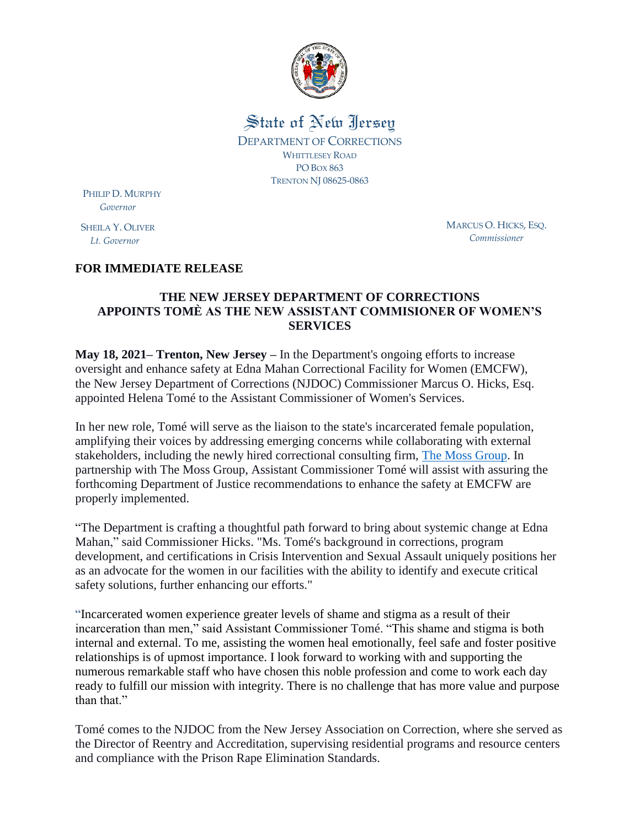

State of New Jersey DEPARTMENT OF CORRECTIONS WHITTLESEY ROAD PO BOX 863 TRENTON NJ 08625-0863

PHILIP D. MURPHY  *Governor*

SHEILA Y. OLIVER  *Lt. Governor*

MARCUS O. HICKS, ESQ. *Commissioner*

## **FOR IMMEDIATE RELEASE**

## **THE NEW JERSEY DEPARTMENT OF CORRECTIONS APPOINTS TOMÈ AS THE NEW ASSISTANT COMMISIONER OF WOMEN'S SERVICES**

**May 18, 2021– Trenton, New Jersey –** In the Department's ongoing efforts to increase oversight and enhance safety at Edna Mahan Correctional Facility for Women (EMCFW), the New Jersey Department of Corrections (NJDOC) Commissioner Marcus O. Hicks, Esq. appointed Helena Tomé to the Assistant Commissioner of Women's Services.

In her new role, Tomé will serve as the liaison to the state's incarcerated female population, amplifying their voices by addressing emerging concerns while collaborating with external stakeholders, including the newly hired correctional consulting firm, [The Moss Group.](https://www.njdoc.gov/pdf/PressRelease_PS/210219_NJDOC_SECURES_THE_MOSS_GROUP.pdf) In partnership with The Moss Group, Assistant Commissioner Tomé will assist with assuring the forthcoming Department of Justice recommendations to enhance the safety at EMCFW are properly implemented.

"The Department is crafting a thoughtful path forward to bring about systemic change at Edna Mahan," said Commissioner Hicks. "Ms. Tomé's background in corrections, program development, and certifications in Crisis Intervention and Sexual Assault uniquely positions her as an advocate for the women in our facilities with the ability to identify and execute critical safety solutions, further enhancing our efforts."

"Incarcerated women experience greater levels of shame and stigma as a result of their incarceration than men," said Assistant Commissioner Tomé. "This shame and stigma is both internal and external. To me, assisting the women heal emotionally, feel safe and foster positive relationships is of upmost importance. I look forward to working with and supporting the numerous remarkable staff who have chosen this noble profession and come to work each day ready to fulfill our mission with integrity. There is no challenge that has more value and purpose than that."

Tomé comes to the NJDOC from the New Jersey Association on Correction, where she served as the Director of Reentry and Accreditation, supervising residential programs and resource centers and compliance with the Prison Rape Elimination Standards.